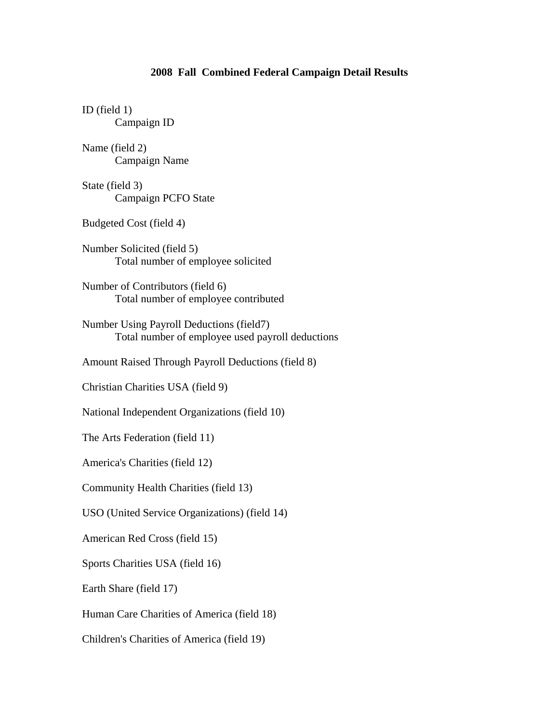## **2008 Fall Combined Federal Campaign Detail Results**

ID (field 1) Campaign ID Name (field 2) Campaign Name State (field 3) Campaign PCFO State Budgeted Cost (field 4) Number Solicited (field 5) Total number of employee solicited Number of Contributors (field 6) Total number of employee contributed Number Using Payroll Deductions (field7) Total number of employee used payroll deductions Amount Raised Through Payroll Deductions (field 8) Christian Charities USA (field 9) National Independent Organizations (field 10) The Arts Federation (field 11) America's Charities (field 12) Community Health Charities (field 13) USO (United Service Organizations) (field 14) American Red Cross (field 15) Sports Charities USA (field 16) Earth Share (field 17) Human Care Charities of America (field 18) Children's Charities of America (field 19)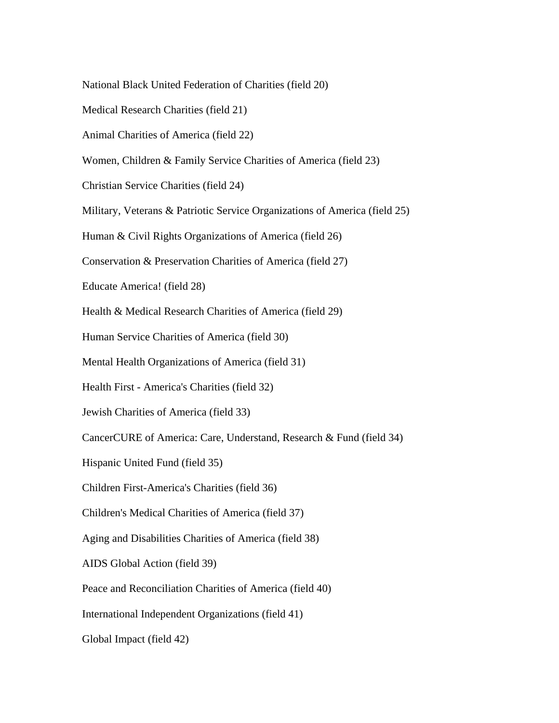National Black United Federation of Charities (field 20)

Medical Research Charities (field 21)

Animal Charities of America (field 22)

Women, Children & Family Service Charities of America (field 23)

Christian Service Charities (field 24)

Military, Veterans & Patriotic Service Organizations of America (field 25)

Human & Civil Rights Organizations of America (field 26)

Conservation & Preservation Charities of America (field 27)

Educate America! (field 28)

Health & Medical Research Charities of America (field 29)

Human Service Charities of America (field 30)

Mental Health Organizations of America (field 31)

Health First - America's Charities (field 32)

Jewish Charities of America (field 33)

CancerCURE of America: Care, Understand, Research & Fund (field 34)

Hispanic United Fund (field 35)

Children First-America's Charities (field 36)

Children's Medical Charities of America (field 37)

Aging and Disabilities Charities of America (field 38)

AIDS Global Action (field 39)

Peace and Reconciliation Charities of America (field 40)

International Independent Organizations (field 41)

Global Impact (field 42)